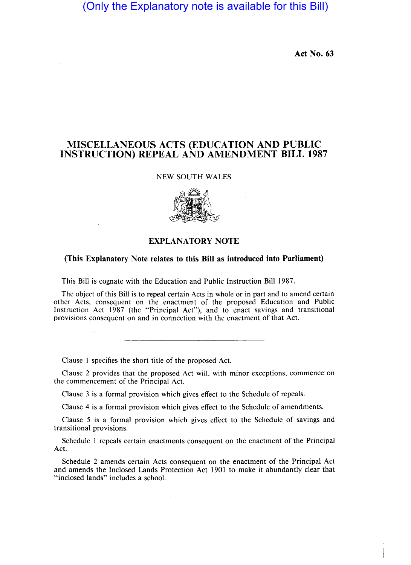# (Only the Explanatory note is available for this Bill)

Act No. 63

# MISCELLANEOUS ACTS (EDUCATION AND PUBLIC INSTRUCTION) REPEAL AND AMENDMENT BILL 1987

### NEW SOUTH WALES



# EXPLANATORY NOTE

## (This Explanatory Note relates to this Bill as introduced into Parliament)

This Bill is cognate with the Education and Public Instruction Bill 1987.

The object of this Bill is to repeal certain Acts in whole or in part and to amend certain other Acts, consequent on the enactment of the proposed Education and Public Instruction Act 1987 (the "Principal Act"), and to enact savings and transitional provisions consequent on and in connection with the enactment of that Act.

Clause I specifies the short title of the proposed Act.

Clause 2 provides that the proposed Act will, with minor exceptions, commence on the commencement of the Principal Act.

Clause 3 is a formal provision which gives effect to the Schedule of repeals.

Clause 4 is a formal provision which gives effect to the Schedule of amendments.

Clause 5 is a formal provision which gives effect to the Schedule of savings and transitional provisions.

Schedule 1 repeals certain enactments consequent on the enactment of the Principal Act.

Schedule 2 amends certain Acts consequent on the enactment of the Principal Act and amends the Inclosed Lands Protection Act 1901 to make it abundantly clear that "inclosed lands" includes a school.